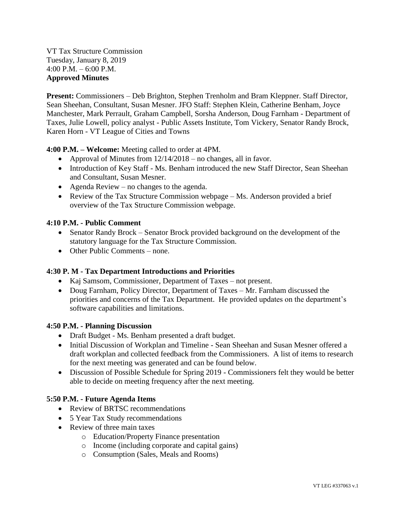VT Tax Structure Commission Tuesday, January 8, 2019 4:00 P.M. – 6:00 P.M. **Approved Minutes**

**Present:** Commissioners – Deb Brighton, Stephen Trenholm and Bram Kleppner. Staff Director, Sean Sheehan, Consultant, Susan Mesner. JFO Staff: Stephen Klein, Catherine Benham, Joyce Manchester, Mark Perrault, Graham Campbell, Sorsha Anderson, Doug Farnham - Department of Taxes, Julie Lowell, policy analyst - Public Assets Institute, Tom Vickery, Senator Randy Brock, Karen Horn - VT League of Cities and Towns

**4:00 P.M. – Welcome:** Meeting called to order at 4PM.

- Approval of Minutes from  $12/14/2018$  no changes, all in favor.
- Introduction of Key Staff Ms. Benham introduced the new Staff Director, Sean Sheehan and Consultant, Susan Mesner.
- Agenda Review no changes to the agenda.
- Review of the Tax Structure Commission webpage Ms. Anderson provided a brief overview of the Tax Structure Commission webpage.

## **4:10 P.M. - Public Comment**

- Senator Randy Brock Senator Brock provided background on the development of the statutory language for the Tax Structure Commission.
- Other Public Comments none.

## **4:30 P. M - Tax Department Introductions and Priorities**

- Kaj Samsom, Commissioner, Department of Taxes not present.
- Doug Farnham, Policy Director, Department of Taxes Mr. Farnham discussed the priorities and concerns of the Tax Department. He provided updates on the department's software capabilities and limitations.

## **4:50 P.M. - Planning Discussion**

- Draft Budget Ms. Benham presented a draft budget.
- Initial Discussion of Workplan and Timeline Sean Sheehan and Susan Mesner offered a draft workplan and collected feedback from the Commissioners. A list of items to research for the next meeting was generated and can be found below.
- Discussion of Possible Schedule for Spring 2019 Commissioners felt they would be better able to decide on meeting frequency after the next meeting.

## **5:50 P.M. - Future Agenda Items**

- Review of BRTSC recommendations
- 5 Year Tax Study recommendations
- Review of three main taxes
	- o Education/Property Finance presentation
	- o Income (including corporate and capital gains)
	- o Consumption (Sales, Meals and Rooms)